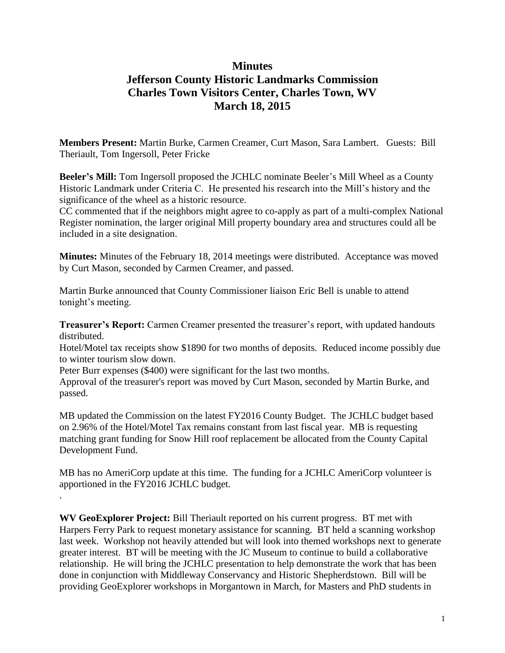# **Minutes Jefferson County Historic Landmarks Commission Charles Town Visitors Center, Charles Town, WV March 18, 2015**

**Members Present:** Martin Burke, Carmen Creamer, Curt Mason, Sara Lambert. Guests: Bill Theriault, Tom Ingersoll, Peter Fricke

**Beeler's Mill:** Tom Ingersoll proposed the JCHLC nominate Beeler's Mill Wheel as a County Historic Landmark under Criteria C. He presented his research into the Mill's history and the significance of the wheel as a historic resource.

CC commented that if the neighbors might agree to co-apply as part of a multi-complex National Register nomination, the larger original Mill property boundary area and structures could all be included in a site designation.

**Minutes:** Minutes of the February 18, 2014 meetings were distributed. Acceptance was moved by Curt Mason, seconded by Carmen Creamer, and passed.

Martin Burke announced that County Commissioner liaison Eric Bell is unable to attend tonight's meeting.

**Treasurer's Report:** Carmen Creamer presented the treasurer's report, with updated handouts distributed.

Hotel/Motel tax receipts show \$1890 for two months of deposits. Reduced income possibly due to winter tourism slow down.

Peter Burr expenses (\$400) were significant for the last two months.

.

Approval of the treasurer's report was moved by Curt Mason, seconded by Martin Burke, and passed.

MB updated the Commission on the latest FY2016 County Budget. The JCHLC budget based on 2.96% of the Hotel/Motel Tax remains constant from last fiscal year. MB is requesting matching grant funding for Snow Hill roof replacement be allocated from the County Capital Development Fund.

MB has no AmeriCorp update at this time. The funding for a JCHLC AmeriCorp volunteer is apportioned in the FY2016 JCHLC budget.

**WV GeoExplorer Project:** Bill Theriault reported on his current progress. BT met with Harpers Ferry Park to request monetary assistance for scanning. BT held a scanning workshop last week. Workshop not heavily attended but will look into themed workshops next to generate greater interest. BT will be meeting with the JC Museum to continue to build a collaborative relationship. He will bring the JCHLC presentation to help demonstrate the work that has been done in conjunction with Middleway Conservancy and Historic Shepherdstown. Bill will be providing GeoExplorer workshops in Morgantown in March, for Masters and PhD students in